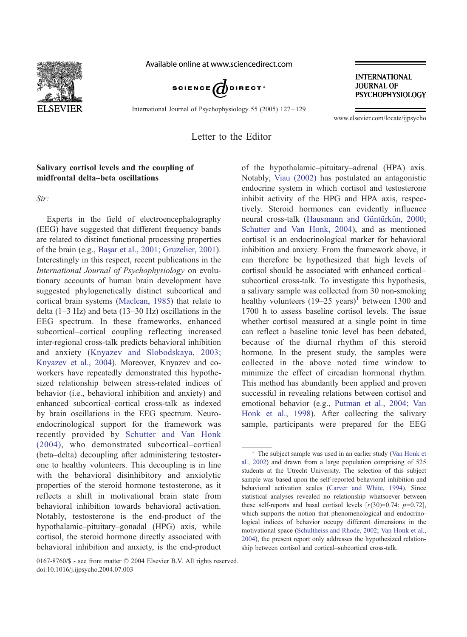

Available online at www.sciencedirect.com



International Journal of Psychophysiology 55 (2005) 127 – 129

**INTERNATIONAL JOURNAL OF PSYCHOPHYSIOLOGY** 

www.elsevier.com/locate/ijpsycho

Letter to the Editor

## Salivary cortisol levels and the coupling of midfrontal delta–beta oscillations

Sir:

Experts in the field of electroencephalography (EEG) have suggested that different frequency bands are related to distinct functional processing properties of the brain (e.g., Bas[ar et al., 2001; Gruzelier, 2001\)](#page-2-0). Interestingly in this respect, recent publications in the International Journal of Psychophysiology on evolutionary accounts of human brain development have suggested phylogenetically distinct subcortical and cortical brain systems ([Maclean, 1985\)](#page-2-0) that relate to delta (1–3 Hz) and beta (13–30 Hz) oscillations in the EEG spectrum. In these frameworks, enhanced subcortical–cortical coupling reflecting increased inter-regional cross-talk predicts behavioral inhibition and anxiety ([Knyazev and Slobodskaya, 2003;](#page-2-0) Knyazev et al., 2004). Moreover, Knyazev and coworkers have repeatedly demonstrated this hypothesized relationship between stress-related indices of behavior (i.e., behavioral inhibition and anxiety) and enhanced subcortical–cortical cross-talk as indexed by brain oscillations in the EEG spectrum. Neuroendocrinological support for the framework was recently provided by [Schutter and Van Honk](#page-2-0) (2004), who demonstrated subcortical–cortical (beta–delta) decoupling after administering testosterone to healthy volunteers. This decoupling is in line with the behavioral disinhibitory and anxiolytic properties of the steroid hormone testosterone, as it reflects a shift in motivational brain state from behavioral inhibition towards behavioral activation. Notably, testosterone is the end-product of the hypothalamic–pituitary–gonadal (HPG) axis, while cortisol, the steroid hormone directly associated with behavioral inhibition and anxiety, is the end-product of the hypothalamic–pituitary–adrenal (HPA) axis.

Notably, [Viau \(2002\)](#page-2-0) has postulated an antagonistic endocrine system in which cortisol and testosterone inhibit activity of the HPG and HPA axis, respectively. Steroid hormones can evidently influence neural cross-talk (Hausmann and Güntürkün, 2000; Schutter and Van Honk, 2004), and as mentioned cortisol is an endocrinological marker for behavioral inhibition and anxiety. From the framework above, it can therefore be hypothesized that high levels of cortisol should be associated with enhanced cortical– subcortical cross-talk. To investigate this hypothesis, a salivary sample was collected from 30 non-smoking healthy volunteers  $(19-25 \text{ years})^1$  between 1300 and 1700 h to assess baseline cortisol levels. The issue whether cortisol measured at a single point in time can reflect a baseline tonic level has been debated, because of the diurnal rhythm of this steroid hormone. In the present study, the samples were collected in the above noted time window to minimize the effect of circadian hormonal rhythm. This method has abundantly been applied and proven successful in revealing relations between cortisol and emotional behavior (e.g., [Putman et al., 2004; Van](#page-2-0) Honk et al., 1998). After collecting the salivary sample, participants were prepared for the EEG

 $1$  The subject sample was used in an earlier study ([Van Honk et](#page-2-0) al., 2002) and drawn from a large population comprising of 525 students at the Utrecht University. The selection of this subject sample was based upon the self-reported behavioral inhibition and behavioral activation scales ([Carver and White, 1994\)](#page-2-0). Since statistical analyses revealed no relationship whatsoever between these self-reports and basal cortisol levels  $[r(30)=0.74: p=0.72]$ , which supports the notion that phenomenological and endocrinological indices of behavior occupy different dimensions in the motivational space ([Schultheiss and Rhode, 2002; Van Honk et al.,](#page-2-0) 2004), the present report only addresses the hypothesized relationship between cortisol and cortical–subcortical cross-talk.

<sup>0167-8760/\$ -</sup> see front matter © 2004 Elsevier B.V. All rights reserved. doi:10.1016/j.ijpsycho.2004.07.003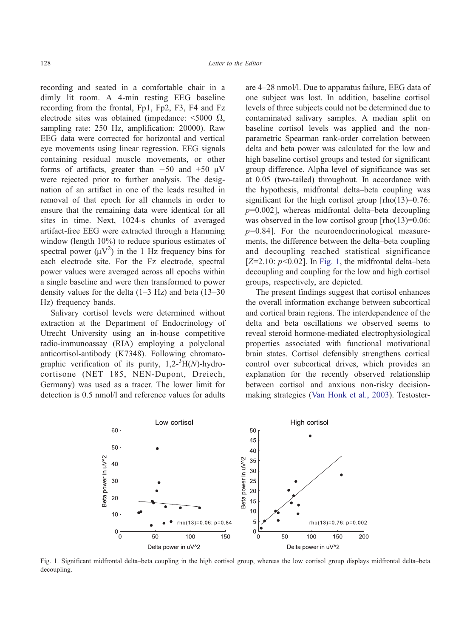recording and seated in a comfortable chair in a dimly lit room. A 4-min resting EEG baseline recording from the frontal, Fp1, Fp2, F3, F4 and Fz electrode sites was obtained (impedance:  $\leq 5000 \Omega$ , sampling rate: 250 Hz, amplification: 20000). Raw EEG data were corrected for horizontal and vertical eye movements using linear regression. EEG signals containing residual muscle movements, or other forms of artifacts, greater than  $-50$  and  $+50 \mu V$ were rejected prior to further analysis. The designation of an artifact in one of the leads resulted in removal of that epoch for all channels in order to ensure that the remaining data were identical for all sites in time. Next, 1024-s chunks of averaged artifact-free EEG were extracted through a Hamming window (length  $10\%$ ) to reduce spurious estimates of spectral power  $(\mu V^2)$  in the 1 Hz frequency bins for each electrode site. For the Fz electrode, spectral power values were averaged across all epochs within a single baseline and were then transformed to power density values for the delta  $(1-3 Hz)$  and beta  $(13-30)$ Hz) frequency bands.

Salivary cortisol levels were determined without extraction at the Department of Endocrinology of Utrecht University using an in-house competitive radio-immunoassay (RIA) employing a polyclonal anticortisol-antibody (K7348). Following chromatographic verification of its purity,  $1,2^{-3}H(N)$ -hydrocortisone (NET 185, NEN-Dupont, Dreiech, Germany) was used as a tracer. The lower limit for detection is 0.5 nmol/l and reference values for adults

are 4–28 nmol/l. Due to apparatus failure, EEG data of one subject was lost. In addition, baseline cortisol levels of three subjects could not be determined due to contaminated salivary samples. A median split on baseline cortisol levels was applied and the nonparametric Spearman rank-order correlation between delta and beta power was calculated for the low and high baseline cortisol groups and tested for significant group difference. Alpha level of significance was set at 0.05 (two-tailed) throughout. In accordance with the hypothesis, midfrontal delta–beta coupling was significant for the high cortisol group  $[$ rho $(13)=0.76$ :  $p=0.002$ ], whereas midfrontal delta–beta decoupling was observed in the low cortisol group  $[rho(13)=0.06]$ :  $p=0.84$ ]. For the neuroendocrinological measurements, the difference between the delta–beta coupling and decoupling reached statistical significance  $[Z=2.10: p<0.02]$ . In Fig. 1, the midfrontal delta–beta decoupling and coupling for the low and high cortisol groups, respectively, are depicted.

The present findings suggest that cortisol enhances the overall information exchange between subcortical and cortical brain regions. The interdependence of the delta and beta oscillations we observed seems to reveal steroid hormone-mediated electrophysiological properties associated with functional motivational brain states. Cortisol defensibly strengthens cortical control over subcortical drives, which provides an explanation for the recently observed relationship between cortisol and anxious non-risky decisionmaking strategies ([Van Honk et al., 2003\)](#page-2-0). Testoster-



Fig. 1. Significant midfrontal delta–beta coupling in the high cortisol group, whereas the low cortisol group displays midfrontal delta–beta decoupling.